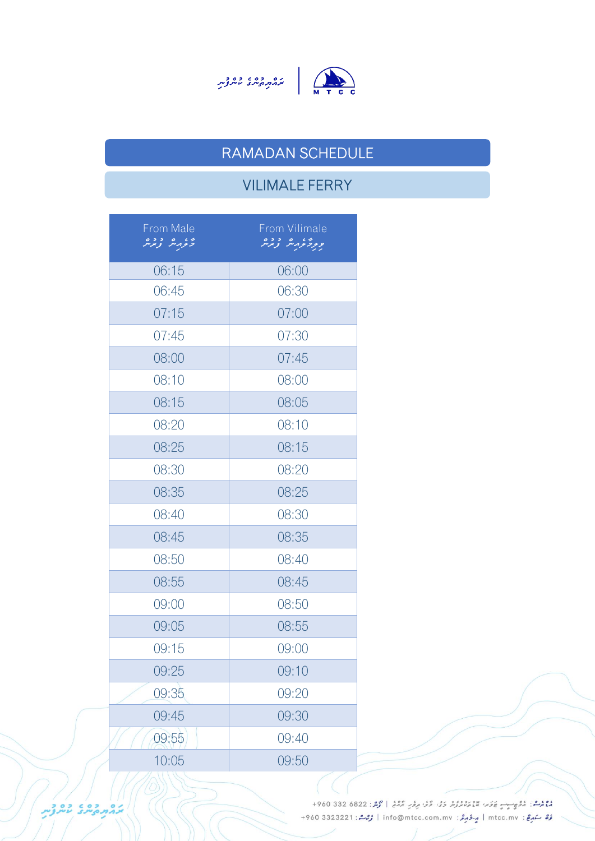



### RAMADAN SCHEDULE

# VILIMALE FERRY

| From Male<br>تخرمهر ترترير | From Vilimale<br>ورؤؤرير وبرير |
|----------------------------|--------------------------------|
| 06:15                      | 06:00                          |
| 06:45                      | 06:30                          |
| 07:15                      | 07:00                          |
| 07:45                      | 07:30                          |
| 08:00                      | 07:45                          |
| 08:10                      | 08:00                          |
| 08:15                      | 08:05                          |
| 08:20                      | 08:10                          |
| 08:25                      | 08:15                          |
| 08:30                      | 08:20                          |
| 08:35                      | 08:25                          |
| 08:40                      | 08:30                          |
| 08:45                      | 08:35                          |
| 08:50                      | 08:40                          |
| 08:55                      | 08:45                          |
| 09:00                      | 08:50                          |
| 09:05                      | 08:55                          |
| 09:15                      | 09:00                          |
| 09:25                      | 09:10                          |
| 09:35                      | 09:20                          |
| 09:45                      | 09:30                          |
| 09:55                      | 09:40                          |
| 10:05                      | 09:50                          |

دوم المراد المحصوص المستقرر المرور المرور المرور المرور المرور المرور المرور المرور 1960 332 680 + رُرُّ سَهرِجْ: mtcc.mv | مِرْدُ جَرَمْرُ: info@mtcc.com.mv | رُحِمْ : 4960 3323221 +960

ההתקיית ליילות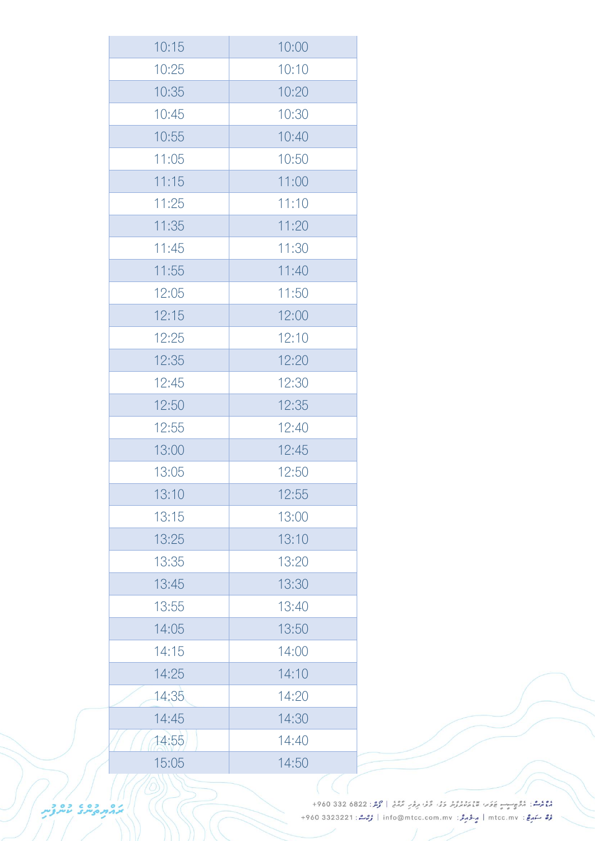| 10:15 | 10:00 |
|-------|-------|
| 10:25 | 10:10 |
| 10:35 | 10:20 |
| 10:45 | 10:30 |
| 10:55 | 10:40 |
| 11:05 | 10:50 |
| 11:15 | 11:00 |
| 11:25 | 11:10 |
| 11:35 | 11:20 |
| 11:45 | 11:30 |
| 11:55 | 11:40 |
| 12:05 | 11:50 |
| 12:15 | 12:00 |
| 12:25 | 12:10 |
| 12:35 | 12:20 |
| 12:45 | 12:30 |
| 12:50 | 12:35 |
| 12:55 | 12:40 |
| 13:00 | 12:45 |
| 13:05 | 12:50 |
| 13:10 | 12:55 |
| 13:15 | 13:00 |
| 13:25 | 13:10 |
| 13:35 | 13:20 |
| 13:45 | 13:30 |
| 13:55 | 13:40 |
| 14:05 | 13:50 |
| 14:15 | 14:00 |
| 14:25 | 14:10 |
| 14:35 | 14:20 |
| 14:45 | 14:30 |
| 14:55 | 14:40 |
| 15:05 | 14:50 |

دوم المحمد المحركة المستورج المحمد المحمد المحمد المحمد المحمد المحمد المحمد المحمد المستورج المحمد المستورج المحمد المستورج المحمد المستورج المستورج المستورج المستورج المستورج المستورج المستورج المستورج المستورج المستور رُبْعُ سَمَيْعٌ : mtcc.mv | مِ-فَرْمِعٌ : info@mtcc.com.mv | رُبْعًا : 4960 3323221 +960

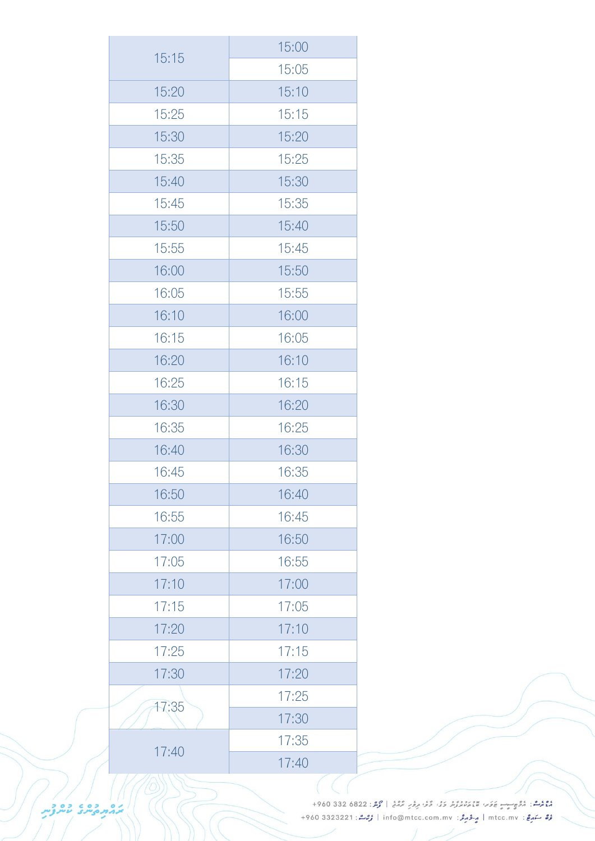|       | 15:00 |
|-------|-------|
| 15:15 | 15:05 |
| 15:20 | 15:10 |
| 15:25 | 15:15 |
| 15:30 | 15:20 |
| 15:35 | 15:25 |
| 15:40 | 15:30 |
| 15:45 | 15:35 |
| 15:50 | 15:40 |
| 15:55 | 15:45 |
| 16:00 | 15:50 |
| 16:05 | 15:55 |
| 16:10 | 16:00 |
| 16:15 | 16:05 |
| 16:20 | 16:10 |
| 16:25 | 16:15 |
| 16:30 | 16:20 |
| 16:35 | 16:25 |
| 16:40 | 16:30 |
| 16:45 | 16:35 |
| 16:50 | 16:40 |
| 16:55 | 16:45 |
| 17:00 | 16:50 |
| 17:05 | 16:55 |
| 17:10 | 17:00 |
| 17:15 | 17:05 |
| 17:20 | 17:10 |
| 17:25 | 17:15 |
| 17:30 | 17:20 |
| 17:35 | 17:25 |
|       | 17:30 |
| 17:40 | 17:35 |
|       | 17:40 |

دوم المحمد المحركة المستورج المحمد المحمد المحمد المحمد المحمد المحمد المحمد المحمد المستورج المحمد المستورج المحمد المستورج المحمد المستورج المستورج المستورج المستورج المستورج المستورج المستورج المستورج المستورج المستور رُبْعُ سَمَيْعٌ : mtcc.mv | مِ-فَرْمِعٌ : info@mtcc.com.mv | رُبْعًا : 4960 3323221 +960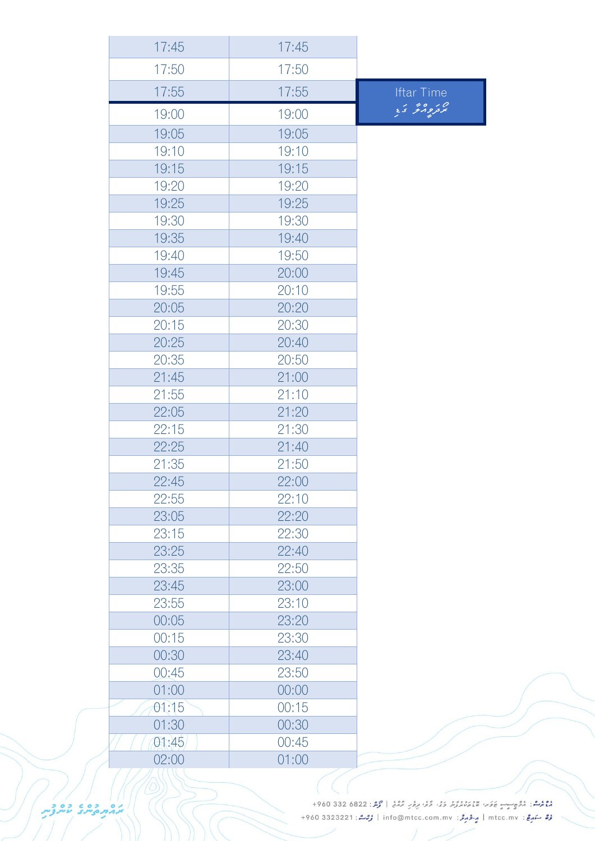| 17:45 | 17:45 |                   |
|-------|-------|-------------------|
| 17:50 | 17:50 |                   |
| 17:55 | 17:55 | <b>Iftar Time</b> |
| 19:00 | 19:00 | ەر دەرىرى ئ       |
| 19:05 | 19:05 |                   |
| 19:10 | 19:10 |                   |
| 19:15 | 19:15 |                   |
| 19:20 | 19:20 |                   |
| 19:25 | 19:25 |                   |
| 19:30 | 19:30 |                   |
| 19:35 | 19:40 |                   |
| 19:40 | 19:50 |                   |
| 19:45 | 20:00 |                   |
| 19:55 | 20:10 |                   |
| 20:05 | 20:20 |                   |
| 20:15 | 20:30 |                   |
| 20:25 | 20:40 |                   |
| 20:35 | 20:50 |                   |
| 21:45 | 21:00 |                   |
| 21:55 | 21:10 |                   |
| 22:05 | 21:20 |                   |
| 22:15 | 21:30 |                   |
| 22:25 | 21:40 |                   |
| 21:35 | 21:50 |                   |
| 22:45 | 22:00 |                   |
| 22:55 | 22:10 |                   |
| 23:05 | 22:20 |                   |
| 23:15 | 22:30 |                   |
| 23:25 | 22:40 |                   |
| 23:35 | 22:50 |                   |
| 23:45 | 23:00 |                   |
| 23:55 | 23:10 |                   |
| 00:05 | 23:20 |                   |
| 00:15 | 23:30 |                   |
| 00:30 | 23:40 |                   |
| 00:45 | 23:50 |                   |
| 01:00 | 00:00 |                   |
| 01:15 | 00:15 |                   |
| 01:30 | 00:30 |                   |
| 01:45 | 00:45 |                   |
| 02:00 | 01:00 |                   |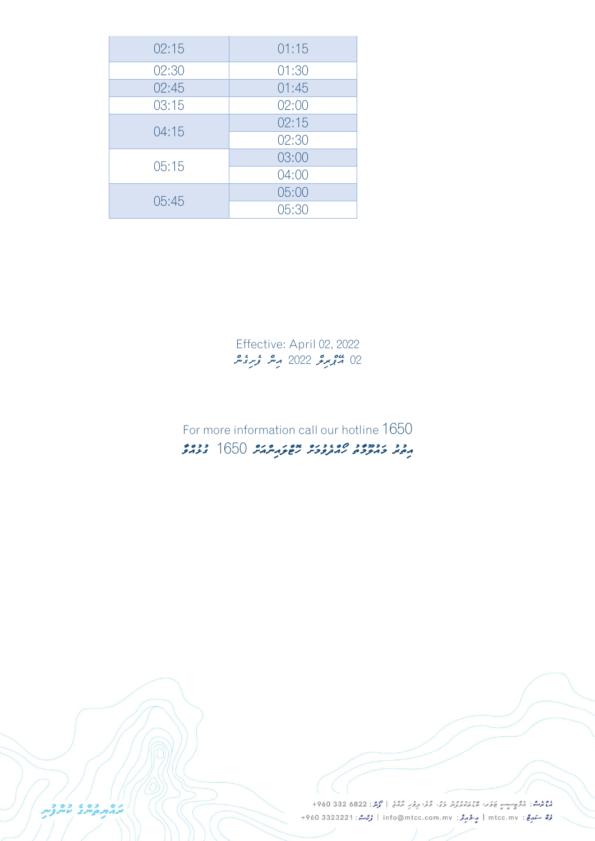| 02:15 | 01:15 |
|-------|-------|
| 02:30 | 01:30 |
| 02:45 | 01:45 |
| 03:15 | 02:00 |
| 04:15 | 02:15 |
|       | 02:30 |
| 05:15 | 03:00 |
|       | 04:00 |
| 05:45 | 05:00 |
|       | 05:30 |

Effective: April 02, 2022 02 <sup>مي</sup>ومرو 2022 مير وبرونتر

### For more information call our hotline 1650 *އިތުރު މަ އު ލ މާތު ހޯއްދެވުމަށް ހޮޓްލައިން އަށް* 1650 *ގުޅުއް ވާ*

مْعْ مُرْمَى: مُرُّحِ رِيْسِي عَرَبْ عَيْدِ مِنْ رُوْرٍ، وَفِي مِرْمَرٍ مُرْكَبُ | مُرْمَرُ: 6822 330 960+ رُرُّ سَهرِجْ: mtcc.mv | مِرْدُ جَرَمْرُ: info@mtcc.com.mv | رُحِمْ : 4960 3323221 +960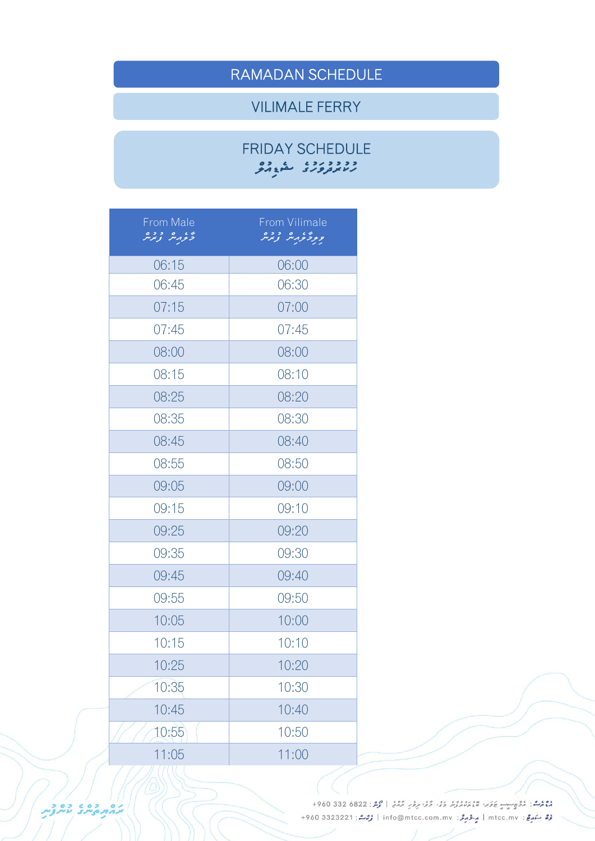## RAMADAN SCHEDULE

#### VILIMALE FERRY

#### FRIDAY SCHEDULE *ހުކުރުދު ވަހުގެ ޝެޑިއުލް*

| From Male<br>لخرفرمثر ترترمر | From Vilimale<br>ورؤثرمثر زنزير |
|------------------------------|---------------------------------|
| 06:15                        | 06:00                           |
| 06:45                        | 06:30                           |
| 07:15                        | 07:00                           |
| 07:45                        | 07:45                           |
| 08:00                        | 08:00                           |
| 08:15                        | 08:10                           |
| 08:25                        | 08:20                           |
| 08:35                        | 08:30                           |
| 08:45                        | 08:40                           |
| 08:55                        | 08:50                           |
| 09:05                        | 09:00                           |
| 09:15                        | 09:10                           |
| 09:25                        | 09:20                           |
| 09:35                        | 09:30                           |
| 09:45                        | 09:40                           |
| 09:55                        | 09:50                           |
| 10:05                        | 10:00                           |
| 10:15                        | 10:10                           |
| 10:25                        | 10:20                           |
| 10:35                        | 10:30                           |
| 10:45                        | 10:40                           |
| 10:55                        | 10:50                           |
| 11:05                        | 11:00                           |

ووم .<br>موم المقابل المقابل المستقدم المستقدم المقرر المقدم المحمد المستقدم المستقدم المستقدم المستقدم المستقدم المستقدم المستقدم المستقدم المستقدم المستقدم المستقدم المستقدم المستقدم المستقدم المستقدم المستقدم المستقدم الم رُرُّ سَهرِجْ: mtcc.mv | مِرْدُ جَرَمْرُ: info@mtcc.com.mv | رُحِمْ : 4960 3323221 +960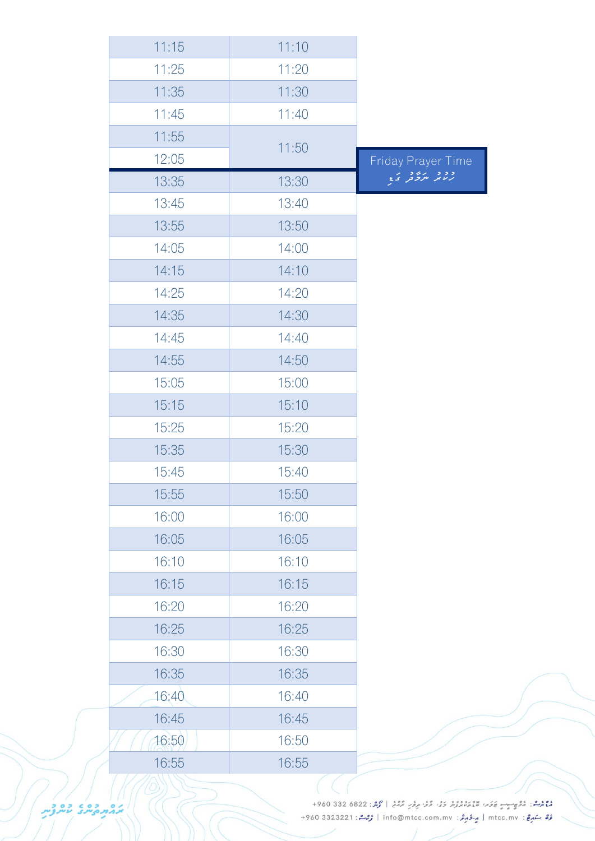| 11:15 | 11:10 |                    |
|-------|-------|--------------------|
| 11:25 | 11:20 |                    |
| 11:35 | 11:30 |                    |
| 11:45 | 11:40 |                    |
| 11:55 |       |                    |
| 12:05 | 11:50 | Friday Prayer Time |
| 13:35 | 13:30 | ووي بروو ک         |
| 13:45 | 13:40 |                    |
| 13:55 | 13:50 |                    |
| 14:05 | 14:00 |                    |
| 14:15 | 14:10 |                    |
| 14:25 | 14:20 |                    |
| 14:35 | 14:30 |                    |
| 14:45 | 14:40 |                    |
| 14:55 | 14:50 |                    |
| 15:05 | 15:00 |                    |
| 15:15 | 15:10 |                    |
| 15:25 | 15:20 |                    |
| 15:35 | 15:30 |                    |
| 15:45 | 15:40 |                    |
| 15:55 | 15:50 |                    |
| 16:00 | 16:00 |                    |
| 16:05 | 16:05 |                    |
| 16:10 | 16:10 |                    |
| 16:15 | 16:15 |                    |
| 16:20 | 16:20 |                    |
| 16:25 | 16:25 |                    |
| 16:30 | 16:30 |                    |
| 16:35 | 16:35 |                    |
| 16:40 | 16:40 |                    |
| 16:45 | 16:45 |                    |
| 16:50 | 16:50 |                    |
| 16:55 | 16:55 |                    |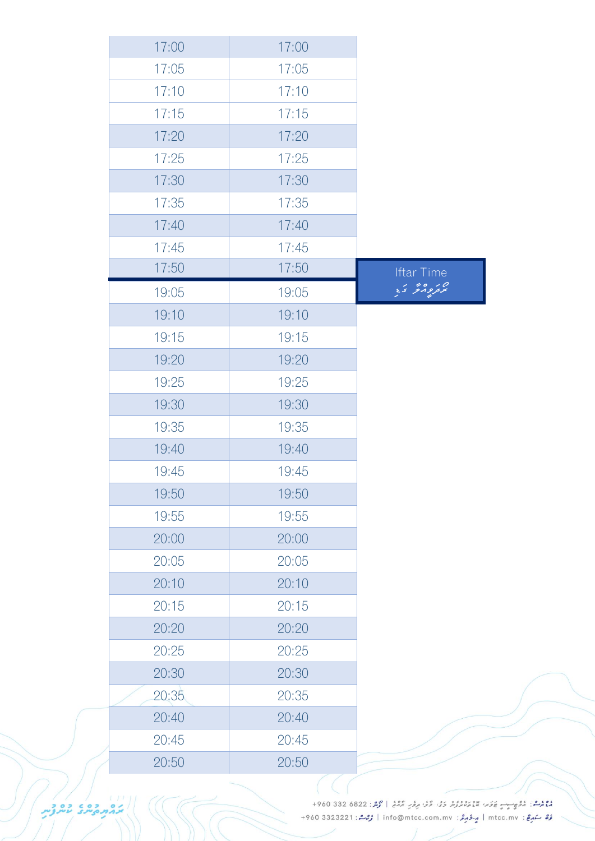| 17:00 | 17:00 |                   |
|-------|-------|-------------------|
| 17:05 | 17:05 |                   |
| 17:10 | 17:10 |                   |
| 17:15 | 17:15 |                   |
| 17:20 | 17:20 |                   |
| 17:25 | 17:25 |                   |
| 17:30 | 17:30 |                   |
| 17:35 | 17:35 |                   |
| 17:40 | 17:40 |                   |
| 17:45 | 17:45 |                   |
| 17:50 | 17:50 | <b>Iftar Time</b> |
| 19:05 | 19:05 | پر دورگر ک        |
| 19:10 | 19:10 |                   |
| 19:15 | 19:15 |                   |
| 19:20 | 19:20 |                   |
| 19:25 | 19:25 |                   |
| 19:30 | 19:30 |                   |
| 19:35 | 19:35 |                   |
| 19:40 | 19:40 |                   |
| 19:45 | 19:45 |                   |
| 19:50 | 19:50 |                   |
| 19:55 | 19:55 |                   |
| 20:00 | 20:00 |                   |
| 20:05 | 20:05 |                   |
| 20:10 | 20:10 |                   |
| 20:15 | 20:15 |                   |
| 20:20 | 20:20 |                   |
| 20:25 | 20:25 |                   |
| 20:30 | 20:30 |                   |
| 20:35 | 20:35 |                   |
| 20:40 | 20:40 |                   |
| 20:45 | 20:45 |                   |
| 20:50 | 20:50 |                   |

دوم المحمد المحركة المستورج المحمد المحمد المحمد المحمد المحمد المحمد المحمد المحمد المستورج المحمد المستورج المحمد المستورج المحمد المستورج المستورج المستورج المستورج المستورج المستورج المستورج المستورج المستورج المستور عُرَّ صَدِعٍ : mtcc.mv | مِ-فَرْمِرَّة : info@mtcc.com.mv | وُرْمَتْ : 4960 3323221 +960